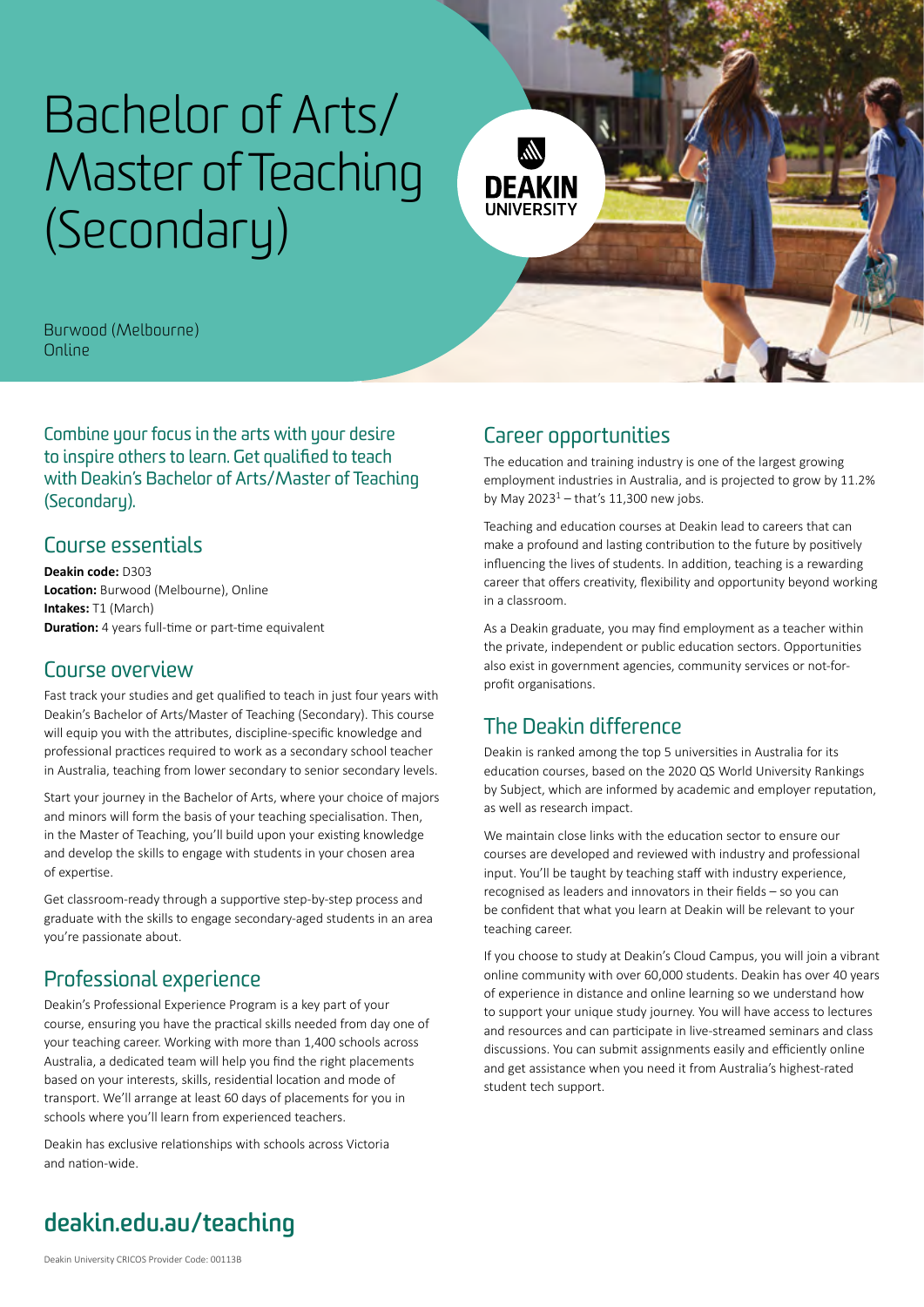# [Bachelor of Arts/](https://deakin.edu.au/course/bachelor-arts-master-teaching-secondary) [Master of Teaching](https://deakin.edu.au/course/bachelor-arts-master-teaching-secondary)  [\(Secondary\)](https://deakin.edu.au/course/bachelor-arts-master-teaching-secondary)



Burwood (Melbourne) Online

Combine your focus in the arts with your desire to inspire others to learn. Get qualified to teach with Deakin's Bachelor of Arts/Master of Teaching (Secondaru).

#### Course essentials

**Deakin code:** D303 **Location:** Burwood (Melbourne), Online **Intakes:** T1 (March) **Duration:** 4 years full-time or part-time equivalent

#### Course overview

Fast track your studies and get qualified to teach in just four years with Deakin's Bachelor of Arts/Master of Teaching (Secondary). This course will equip you with the attributes, discipline-specific knowledge and professional practices required to work as a secondary school teacher in Australia, teaching from lower secondary to senior secondary levels.

Start your journey in the Bachelor of Arts, where your choice of majors and minors will form the basis of your teaching specialisation. Then, in the Master of Teaching, you'll build upon your existing knowledge and develop the skills to engage with students in your chosen area of expertise.

Get classroom-ready through a supportive step-by-step process and graduate with the skills to engage secondary-aged students in an area you're passionate about.

## Professional experience

Deakin's Professional Experience Program is a key part of your course, ensuring you have the practical skills needed from day one of your teaching career. Working with more than 1,400 schools across Australia, a dedicated team will help you find the right placements based on your interests, skills, residential location and mode of transport. We'll arrange at least 60 days of placements for you in schools where you'll learn from experienced teachers.

Deakin has exclusive relationships with schools across Victoria and nation-wide.

### Career opportunities

The education and training industry is one of the largest growing employment industries in Australia, and is projected to grow by 11.2% by May 2023<sup>[1](#page-1-0)</sup> – that's 11,300 new jobs.

Teaching and education courses at Deakin lead to careers that can make a profound and lasting contribution to the future by positively influencing the lives of students. In addition, teaching is a rewarding career that offers creativity, flexibility and opportunity beyond working in a classroom.

As a Deakin graduate, you may find employment as a teacher within the private, independent or public education sectors. Opportunities also exist in government agencies, community services or not-forprofit organisations.

## The Deakin difference

Deakin is ranked among the top 5 universities in Australia for its education courses, based on the 2020 QS World University Rankings by Subject, which are informed by academic and employer reputation, as well as research impact.

We maintain close links with the education sector to ensure our courses are developed and reviewed with industry and professional input. You'll be taught by teaching staff with industry experience, recognised as leaders and innovators in their fields – so you can be confident that what you learn at Deakin will be relevant to your teaching career.

If you choose to study at Deakin's Cloud Campus, you will join a vibrant online community with over 60,000 students. Deakin has over 40 years of experience in distance and online learning so we understand how to support your unique study journey. You will have access to lectures and resources and can participate in live-streamed seminars and class discussions. You can submit assignments easily and efficiently online and get assistance when you need it from Australia's highest-rated student tech support.

## **[deakin.edu.au/teaching](https://deakin.edu.au/teaching)**